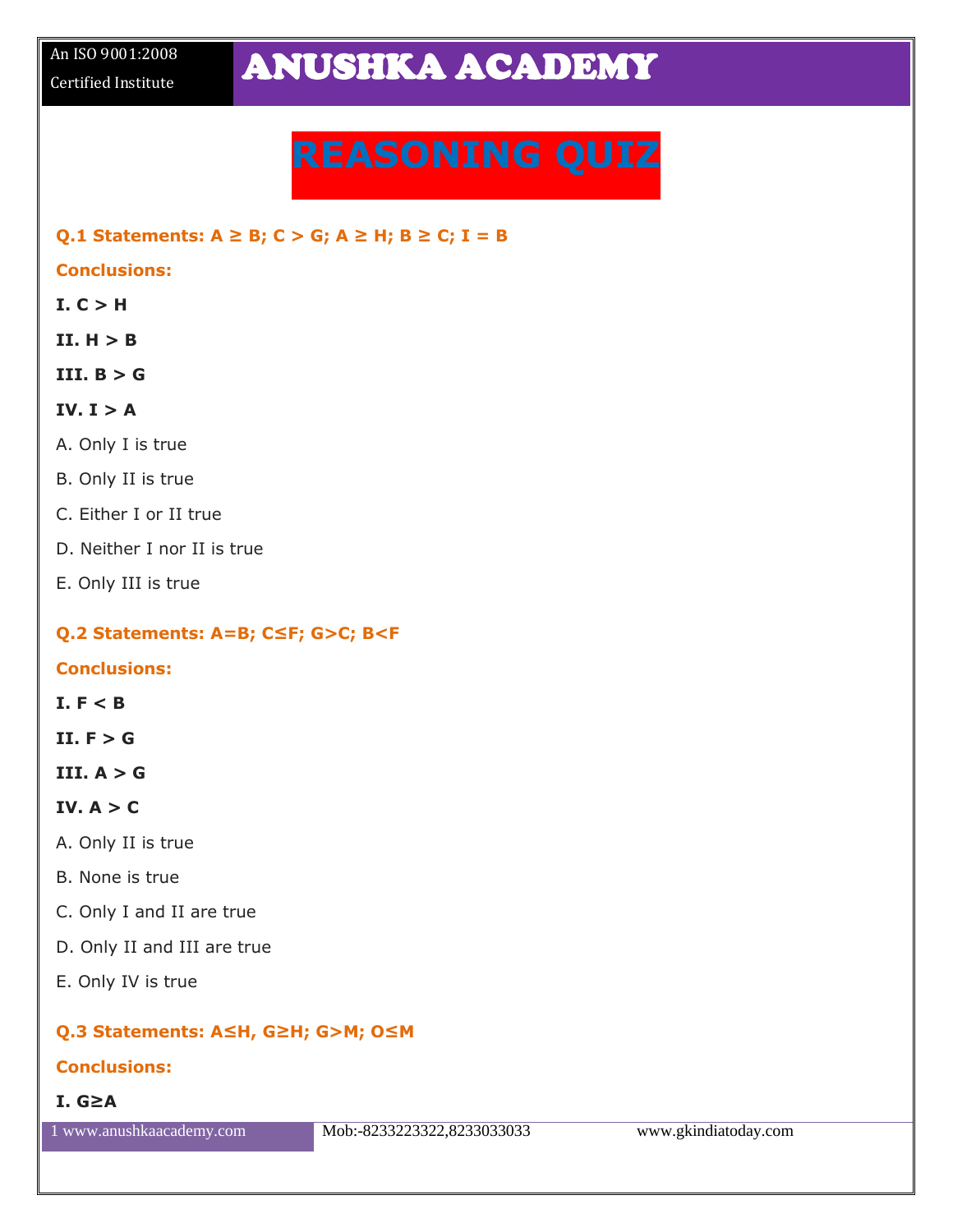# **REASONING QUIZ**

#### **Q.1 Statements: A ≥ B; C > G; A ≥ H; B ≥ C; I = B**

#### **Conclusions:**

- $I. C > H$
- $II. H > B$
- **III. B > G**

#### $IV. I > A$

- A. Only I is true
- B. Only II is true
- C. Either I or II true
- D. Neither I nor II is true
- E. Only III is true

#### **Q.2 Statements: A=B; C≤F; G>C; B<F**

#### **Conclusions:**

#### **I. F < B**

**II. F > G**

**III. A > G**

#### IV.  $A > C$

- A. Only II is true
- B. None is true
- C. Only I and II are true
- D. Only II and III are true
- E. Only IV is true

#### **Q.3 Statements: A≤H, G≥H; G>M; O≤M**

#### **Conclusions:**

**I. G≥A**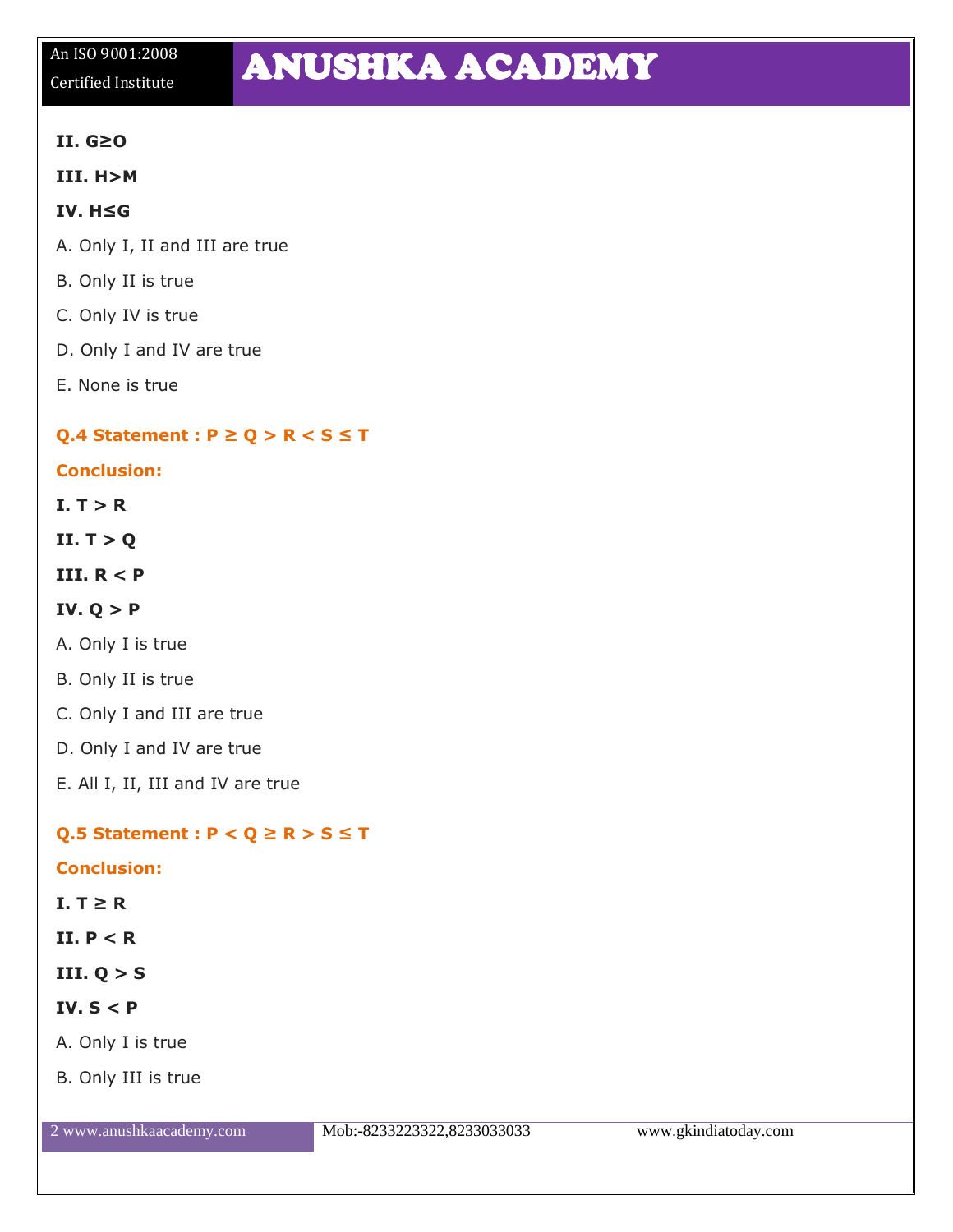# An ISO 9001:2008

## An ISO 9001:2008 **ANUSHKA ACADEMY**

#### **II. G≥O**

**III. H>M**

#### **IV. H≤G**

- A. Only I, II and III are true
- B. Only II is true
- C. Only IV is true
- D. Only I and IV are true
- E. None is true

#### **Q.4 Statement : P ≥ Q > R < S ≤ T**

#### **Conclusion:**

 $I. T > R$ 

**II. T > Q**

#### **III. R < P**

#### **IV. Q > P**

- A. Only I is true
- B. Only II is true
- C. Only I and III are true
- D. Only I and IV are true
- E. All I, II, III and IV are true

#### **Q.5 Statement : P < Q ≥ R > S ≤ T**

#### **Conclusion:**

#### $I. T \geq R$

- **II. P < R**
- **III. Q > S**

#### **IV. S < P**

- A. Only I is true
- B. Only III is true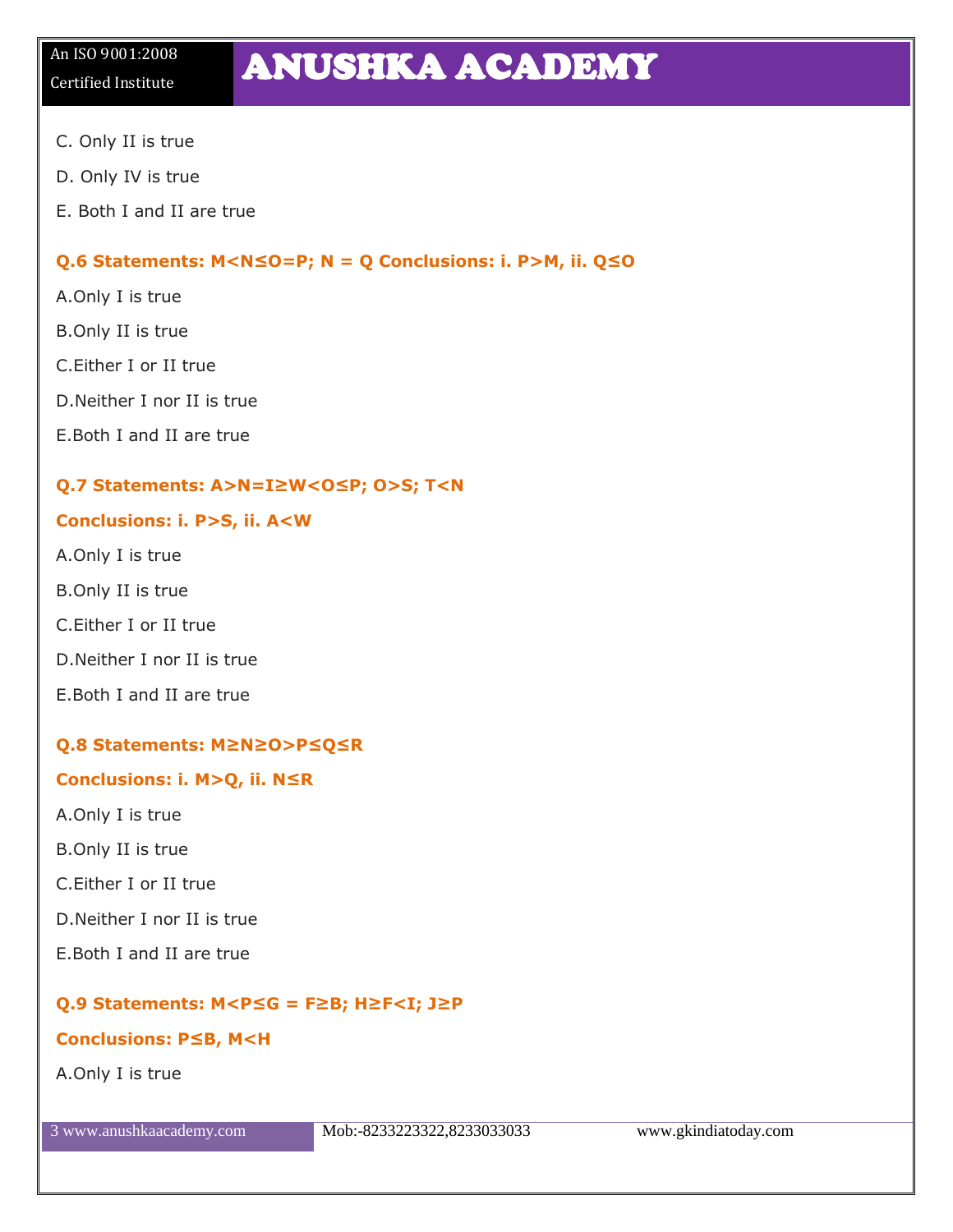## An ISO 9001:2008 **ANUSHKA ACADEMY**

- C. Only II is true
- D. Only IV is true
- E. Both I and II are true

#### **Q.6 Statements: M<N≤O=P; N = Q Conclusions: i. P>M, ii. Q≤O**

- A.Only I is true
- B.Only II is true
- C.Either I or II true
- D.Neither I nor II is true
- E.Both I and II are true

#### **Q.7 Statements: A>N=I≥W<O≤P; O>S; T<N**

#### **Conclusions: i. P>S, ii. A<W**

- A.Only I is true
- B.Only II is true
- C.Either I or II true
- D.Neither I nor II is true
- E.Both I and II are true

#### **Q.8 Statements: M≥N≥O>P≤Q≤R**

#### **Conclusions: i. M>Q, ii. N≤R**

- A.Only I is true
- B.Only II is true
- C.Either I or II true
- D.Neither I nor II is true
- E.Both I and II are true

#### **Q.9 Statements: M<P≤G = F≥B; H≥F<I; J≥P**

#### **Conclusions: P≤B, M<H**

A.Only I is true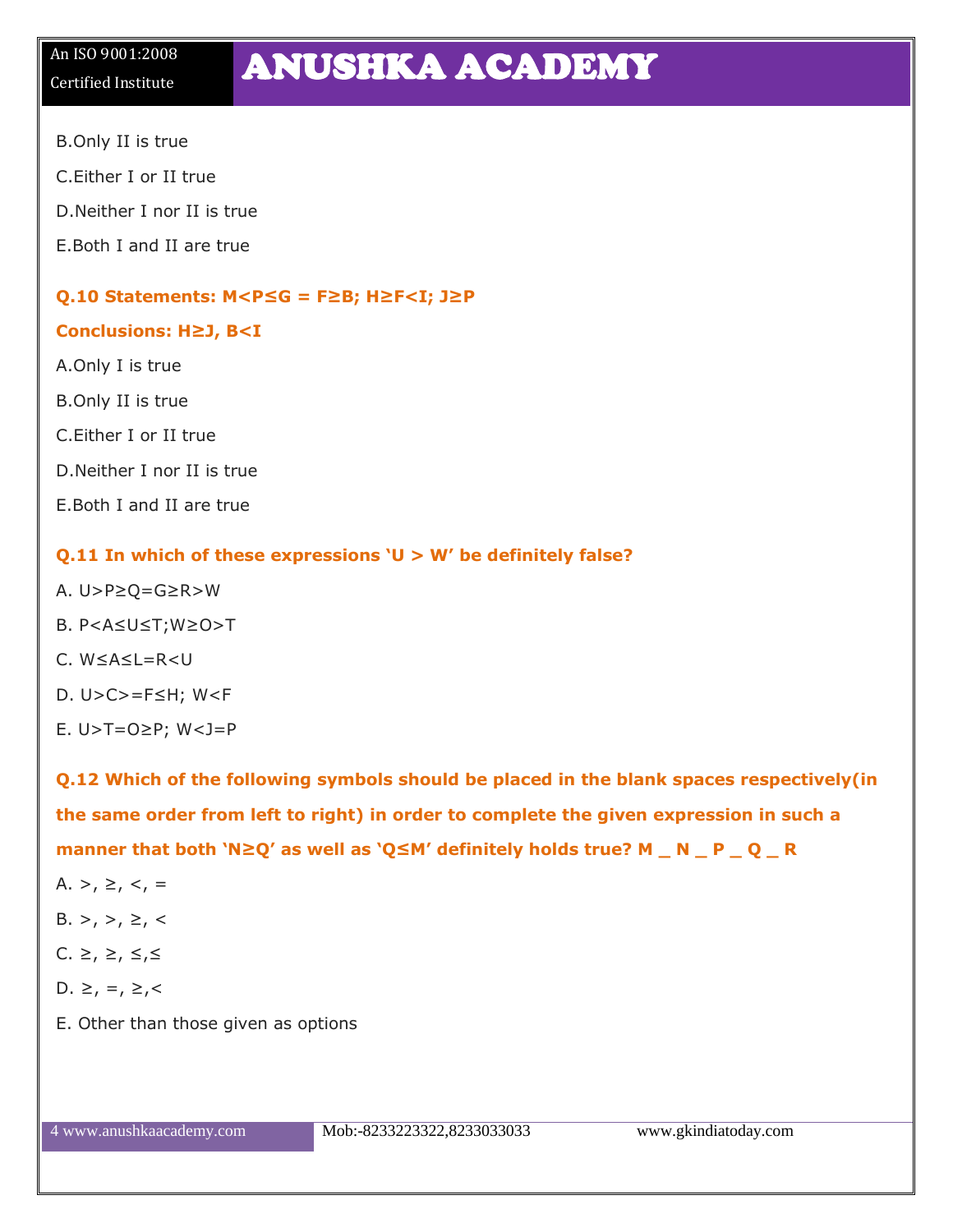## An ISO 9001:2008<br>Certified Institute **ANUSHKA ACADEMY**

- B.Only II is true
- C.Either I or II true
- D.Neither I nor II is true
- E.Both I and II are true

#### **Q.10 Statements: M<P≤G = F≥B; H≥F<I; J≥P**

#### **Conclusions: H≥J, B<I**

- A.Only I is true B.Only II is true C.Either I or II true D.Neither I nor II is true
- E.Both I and II are true

#### **Q.11 In which of these expressions 'U > W' be definitely false?**

- A. U>P≥Q=G≥R>W
- B. P<A≤U≤T;W≥O>T
- C. W≤A≤L=R<U
- D. U>C>=F≤H; W<F
- E. U>T=O≥P; W<J=P

**Q.12 Which of the following symbols should be placed in the blank spaces respectively(in the same order from left to right) in order to complete the given expression in such a manner that both 'N≥Q' as well as 'Q≤M' definitely holds true? M \_ N \_ P \_ Q \_ R**

- A. >,  $\geq$ ,  $\lt$ , =
- $B. >, >, \ge, <$
- C. ≥, ≥,  $\leq, \leq, \leq$
- D. ≥, =, ≥,<
- E. Other than those given as options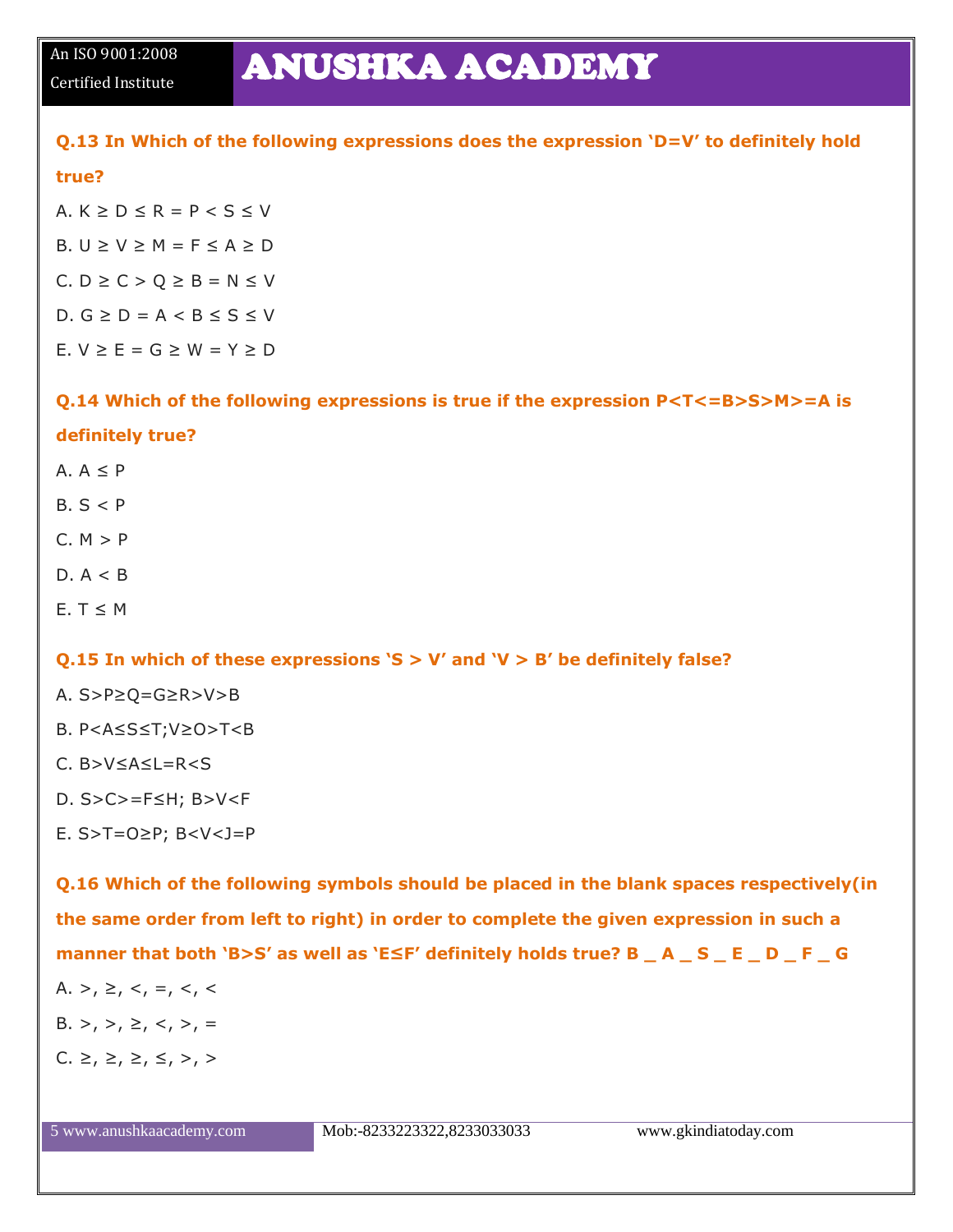### An ISO 9001:2008 **ANUSHKA ACADEMY**

#### **Q.13 In Which of the following expressions does the expression 'D=V' to definitely hold**

#### **true?**

A.  $K > D < R = P < S < V$ B.  $U \ge V \ge M = F \le A \ge D$ C.  $D \ge C > Q \ge B = N \le V$ D.  $G \ge D = A < B \le S \le V$  $F. V > F = G > W = Y > D$ 

### **Q.14 Which of the following expressions is true if the expression P<T<=B>S>M>=A is definitely true?**

- $A \cdot A \leq P$
- $B.S < P$
- $C. M > P$
- $D. A < B$
- $E. T \leq M$

#### **Q.15 In which of these expressions 'S > V' and 'V > B' be definitely false?**

- A. S>P≥Q=G≥R>V>B
- B. P<A≤S≤T;V≥O>T<B
- $C.$  B > V < A < I = R < S
- D. S>C>=F≤H; B>V<F
- E. S>T=O≥P; B<V<J=P

**Q.16 Which of the following symbols should be placed in the blank spaces respectively(in the same order from left to right) in order to complete the given expression in such a manner that both 'B>S' as well as 'E≤F' definitely holds true? B \_ A \_ S \_ E \_ D \_ F \_ G** A. >,  $\geq$ ,  $\lt$ ,  $=$ ,  $\lt$ ,  $\lt$ B. >, >,  $\geq$ ,  $\lt$ , >, = C.  $\geq$ ,  $\geq$ ,  $\geq$ ,  $\leq$ ,  $\geq$ ,  $\geq$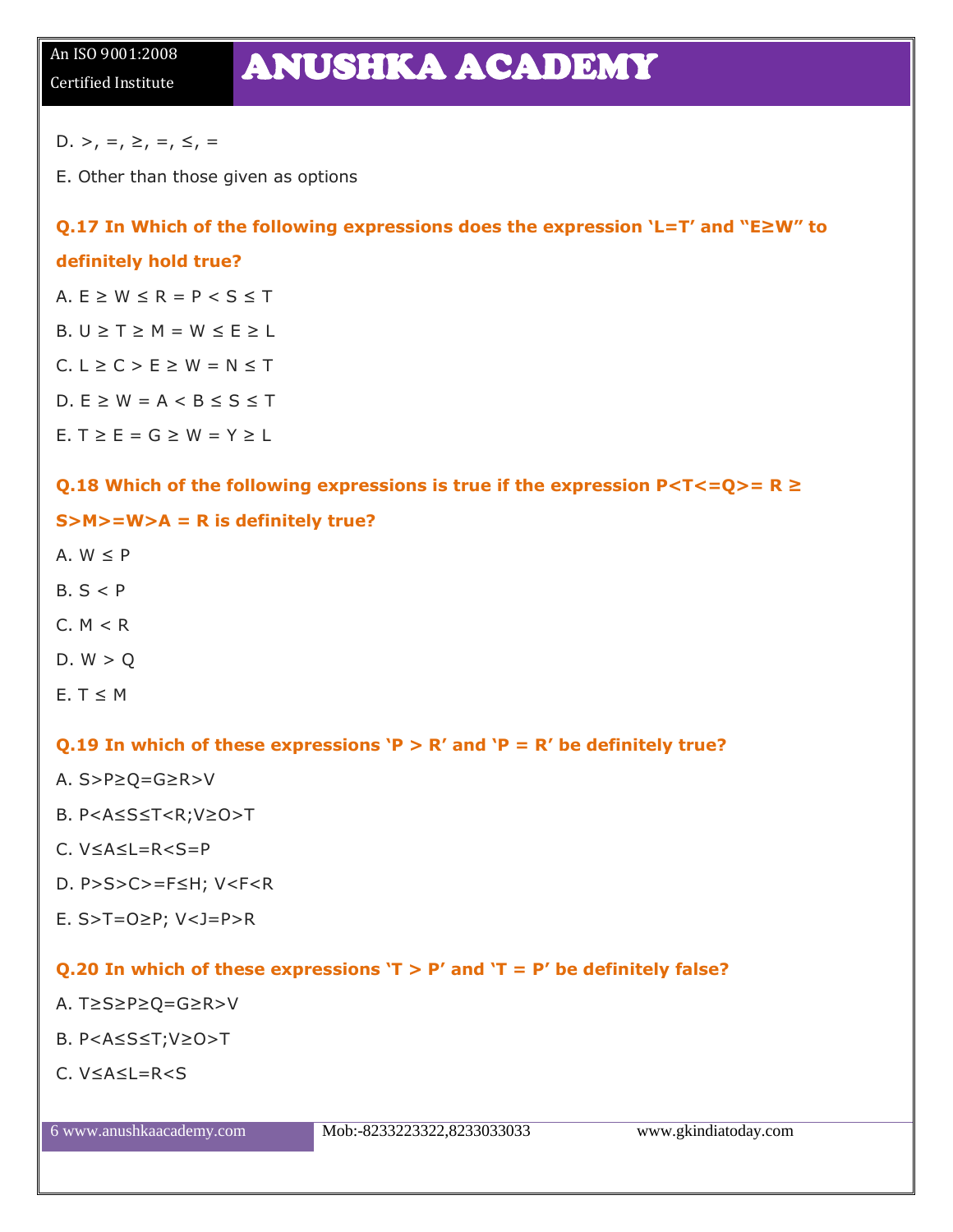### An ISO 9001:2008 **ANUSHKA ACADEMY**

D. >, =,  $\geq$ , =,  $\leq$ , =

E. Other than those given as options

#### **Q.17 In Which of the following expressions does the expression 'L=T' and "E≥W" to**

#### **definitely hold true?**

A.  $E \geq W \leq R = P \leq S \leq T$ B.  $U \geq T \geq M = W \leq E \geq L$ 

 $C. L \ge C > E \ge W = N \le T$ 

D.  $E \geq W = A < B \leq S \leq T$ 

E.  $T \ge E = G \ge W = Y \ge L$ 

#### Q.18 Which of the following expressions is true if the expression P<T<=Q>= R ≥

#### **S>M>=W>A = R is definitely true?**

- A.  $W < P$
- $B.S < P$
- $C. M < R$
- $D. W > Q$
- E.  $T \leq M$

#### **Q.19 In which of these expressions 'P > R' and 'P = R' be definitely true?**

- A. S>P≥Q=G≥R>V
- B. P<A≤S≤T<R;V≥O>T
- C. V≤A≤L=R<S=P
- D. P>S>C>=F≤H; V<F<R
- E. S>T=O≥P; V<J=P>R

#### **Q.20 In which of these expressions 'T > P' and 'T = P' be definitely false?**

- A. T≥S≥P≥Q=G≥R>V
- B. P<A≤S≤T;V≥O>T
- $C$  V<A<L=R<S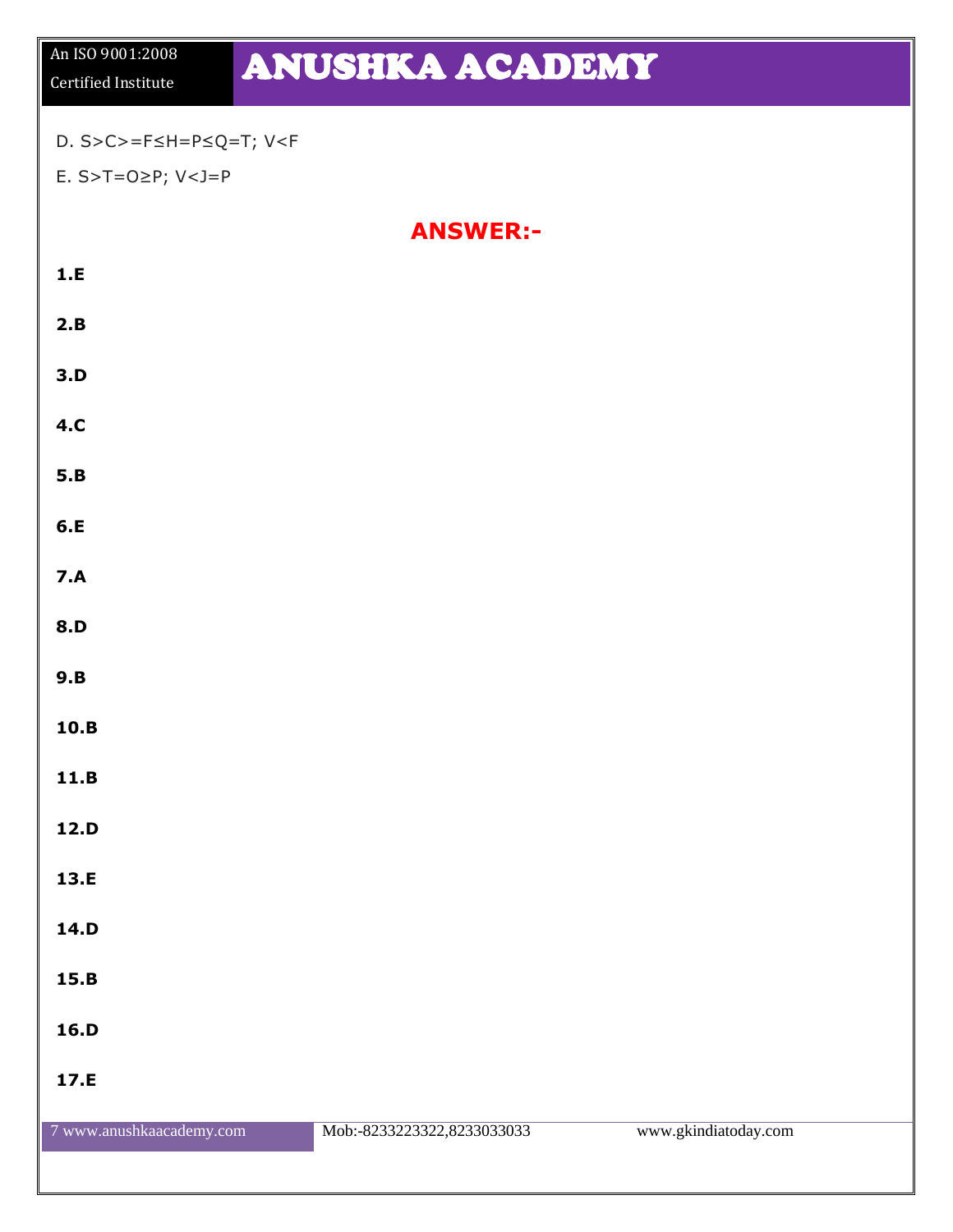# An ISO 9001:2008<br>Certified Institute **ANUSHKA ACADEMY**

#### D. S>C>=F≤H=P≤Q=T; V<F

E. S>T=O≥P; V<J=P

**ANSWER:-**

| $1.E$      |  |  |
|------------|--|--|
| 2.B        |  |  |
| 3.D        |  |  |
| 4.C        |  |  |
| 5.B        |  |  |
| 6.E        |  |  |
| 7.A        |  |  |
| <b>8.D</b> |  |  |
| 9.B        |  |  |
| $10.B$     |  |  |
| $11.B$     |  |  |
| 12.D       |  |  |
| 13.E       |  |  |
| 14.D       |  |  |
| 15.B       |  |  |
| 16.D       |  |  |
| 17.E       |  |  |